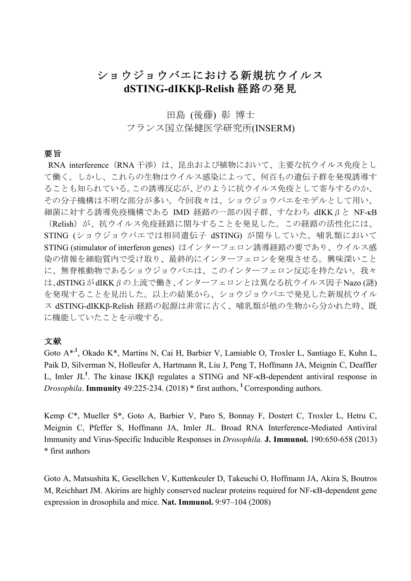# ショウジョウバエにおける新規抗ウイルス **dSTING-dIKKβ-Relish** 経路の発見

## 田島 (後藤) 彰 博士 フランス国立保健医学研究所(INSERM)

## 要旨

RNA interference (RNA 干渉)は、昆虫および植物において、主要な抗ウイルス免疫とし て働く。しかし、これらの生物はウイルス感染によって、何百もの遺伝子群を発現誘導す ることも知られている。この誘導反応が、どのように抗ウイルス免疫として寄与するのか、 その分子機構は不明な部分が多い。今回我々は、ショウジョウバエをモデルとして用い、 細菌に対する誘導免疫機構である IMD 経路の一部の因子群、すなわち dIKKβと NF-κB (Relish)が、抗ウイルス免疫経路に関与することを発見した。この経路の活性化には、 STING (ショウジョウバエでは相同遺伝子 dSTING) が関与していた。哺乳類において STING (stimulator of interferon genes) はインターフェロン誘導経路の要であり、ウイルス感 染の情報を細胞質内で受け取り、最終的にインターフェロンを発現させる。興味深いこと に、無脊椎動物であるショウジョウバエは、このインターフェロン反応を持たない。我々 は、dSTINGがdIKKβの上流で働き、インターフェロンとは異なる抗ウイルス因子Nazo (謎) を発現することを見出した。以上の結果から、ショウジョウバエで発見した新規抗ウイル

ス dSTING-dIKKβ-Relish 経路の起源は非常に古く、哺乳類が他の生物から分かれた時、既 に機能していたことを示唆する。

## 文献

Goto A<sup>\*,1</sup>, Okado K<sup>\*</sup>, Martins N, Cai H, Barbier V, Lamiable O, Troxler L, Santiago E, Kuhn L, Paik D, Silverman N, Holleufer A, Hartmann R, Liu J, Peng T, Hoffmann JA, Meignin C, Deaffler L, Imler JL<sup>1</sup>. The kinase IKKβ regulates a STING and NF- $\kappa$ B-dependent antiviral response in *Drosophila*. **Immunity** 49:225-234. (2018) \* first authors, **<sup>1</sup>**Corresponding authors.

Kemp C\*, Mueller S\*, Goto A, Barbier V, Paro S, Bonnay F, Dostert C, Troxler L, Hetru C, Meignin C, Pfeffer S, Hoffmann JA, Imler JL. Broad RNA Interference-Mediated Antiviral Immunity and Virus-Specific Inducible Responses in *Drosophila*. **J. Immunol.** 190:650-658 (2013) \* first authors

Goto A, Matsushita K, Gesellchen V, Kuttenkeuler D, Takeuchi O, Hoffmann JA, Akira S, Boutros M, Reichhart JM. Akirins are highly conserved nuclear proteins required for NF-κB-dependent gene expression in drosophila and mice. **Nat. Immunol.** 9:97–104 (2008)